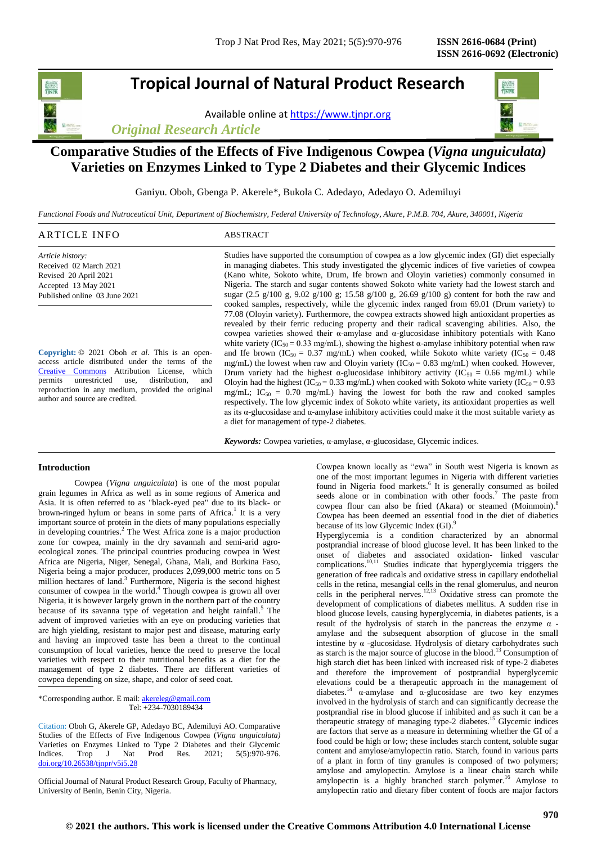# **Tropical Journal of Natural Product Research**

Available online a[t https://www.tjnpr.org](https://www.tjnpr.org/)





## **Comparative Studies of the Effects of Five Indigenous Cowpea (***Vigna unguiculata)*  **Varieties on Enzymes Linked to Type 2 Diabetes and their Glycemic Indices**

Ganiyu. Oboh, Gbenga P. Akerele\*, Bukola C. Adedayo, Adedayo O. Ademiluyi

*Functional Foods and Nutraceutical Unit, Department of Biochemistry, Federal University of Technology, Akure, P.M.B. 704, Akure, 340001, Nigeria*

| ARTICLE INFO                  | ABSTRACT                                                                                       |
|-------------------------------|------------------------------------------------------------------------------------------------|
| Article history:              | Studies have supported the consumption of cowpea as a low glycemic index (GI) diet especially  |
| Received 02 March 2021        | in managing diabetes. This study investigated the glycemic indices of five varieties of cowpea |
| Revised 20 April 2021         | (Kano white, Sokoto white, Drum, Ife brown and Oloyin varieties) commonly consumed in          |
| Accepted 13 May 2021          | Nigeria. The starch and sugar contents showed Sokoto white variety had the lowest starch and   |
| Published online 03 June 2021 | sugar (2.5 g/100 g, 9.02 g/100 g; 15.58 g/100 g, 26.69 g/100 g) content for both the raw and   |
|                               | cooked samples, respectively, while the glycemic index ranged from 69.01 (Drum variety) to     |

**Copyright:** © 2021 Oboh *et al*. This is an openaccess article distributed under the terms of the [Creative Commons](https://creativecommons.org/licenses/by/4.0/) Attribution License, which permits unrestricted use, distribution, and reproduction in any medium, provided the original author and source are credited.

cooked samples, respectively, while the glycemic index ranged from 69.01 (Drum variety) to 77.08 (Oloyin variety). Furthermore, the cowpea extracts showed high antioxidant properties as revealed by their ferric reducing property and their radical scavenging abilities. Also, the cowpea varieties showed their α-amylase and α-glucosidase inhibitory potentials with Kano white variety (IC<sub>50</sub> = 0.33 mg/mL), showing the highest  $\alpha$ -amylase inhibitory potential when raw and Ife brown (IC<sub>50</sub> = 0.37 mg/mL) when cooked, while Sokoto white variety (IC<sub>50</sub> = 0.48 mg/mL) the lowest when raw and Oloyin variety ( $IC_{50} = 0.83$  mg/mL) when cooked. However, Drum variety had the highest  $\alpha$ -glucosidase inhibitory activity (IC<sub>50</sub> = 0.66 mg/mL) while Oloyin had the highest (IC<sub>50</sub> = 0.33 mg/mL) when cooked with Sokoto white variety (IC<sub>50</sub> = 0.93 mg/mL;  $IC_{50} = 0.70$  mg/mL) having the lowest for both the raw and cooked samples respectively. The low glycemic index of Sokoto white variety, its antioxidant properties as well as its  $\alpha$ -glucosidase and  $\alpha$ -amylase inhibitory activities could make it the most suitable variety as a diet for management of type-2 diabetes.

*Keywords:* Cowpea varieties, α-amylase, α-glucosidase, Glycemic indices.

## **Introduction**

Cowpea (*Vigna unguiculata*) is one of the most popular grain legumes in Africa as well as in some regions of America and Asia. It is often referred to as "black-eyed pea" due to its black- or brown-ringed hylum or beans in some parts of Africa.<sup>1</sup> It is a very important source of protein in the diets of many populations especially in developing countries. 2 The West Africa zone is a major production zone for cowpea, mainly in the dry savannah and semi-arid agroecological zones. The principal countries producing cowpea in West Africa are Nigeria, Niger, Senegal, Ghana, Mali, and Burkina Faso, Nigeria being a major producer, produces 2,099,000 metric tons on 5 million hectares of land. 3 Furthermore, Nigeria is the second highest consumer of cowpea in the world. 4 Though cowpea is grown all over Nigeria, it is however largely grown in the northern part of the country because of its savanna type of vegetation and height rainfall.<sup>5</sup> The advent of improved varieties with an eye on producing varieties that are high yielding, resistant to major pest and disease, maturing early and having an improved taste has been a threat to the continual consumption of local varieties, hence the need to preserve the local varieties with respect to their nutritional benefits as a diet for the management of type 2 diabetes. There are different varieties of cowpea depending on size, shape, and color of seed coat.

\*Corresponding author. E mail[: akereleg@gmail.com](mailto:akereleg@gmail.com) Tel: +234-7030189434

Citation: Oboh G, Akerele GP, Adedayo BC, Ademiluyi AO. Comparative Studies of the Effects of Five Indigenous Cowpea (*Vigna unguiculata)*  Varieties on Enzymes Linked to Type 2 Diabetes and their Glycemic Indices. Trop J Nat Prod Res. 2021; 5(5):970-976. [doi.org/10.26538/tjnpr/v5i5.2](http://www.doi.org/10.26538/tjnpr/v1i4.5)8

Official Journal of Natural Product Research Group, Faculty of Pharmacy, University of Benin, Benin City, Nigeria.

Cowpea known locally as "ewa" in South west Nigeria is known as one of the most important legumes in Nigeria with different varieties found in Nigeria food markets. 6 It is generally consumed as boiled seeds alone or in combination with other foods.<sup>7</sup> The paste from cowpea flour can also be fried (Akara) or steamed (Moinmoin). 8 Cowpea has been deemed an essential food in the diet of diabetics because of its low Glycemic Index (GI).<sup>9</sup>

Hyperglycemia is a condition characterized by an abnormal postprandial increase of blood glucose level. It has been linked to the onset of diabetes and associated oxidation- linked vascular complications. $10,11$  Studies indicate that hyperglycemia triggers the generation of free radicals and oxidative stress in capillary endothelial cells in the retina, mesangial cells in the renal glomerulus, and neuron cells in the peripheral nerves. 12,13 Oxidative stress can promote the development of complications of diabetes mellitus. A sudden rise in blood glucose levels, causing hyperglycemia, in diabetes patients, is a result of the hydrolysis of starch in the pancreas the enzyme  $\alpha$  amylase and the subsequent absorption of glucose in the small intestine by  $\alpha$  -glucosidase. Hydrolysis of dietary carbohydrates such as starch is the major source of glucose in the blood. <sup>13</sup> Consumption of high starch diet has been linked with increased risk of type-2 diabetes and therefore the improvement of postprandial hyperglycemic elevations could be a therapeutic approach in the management of diabetes. <sup>14</sup> α-amylase and α-glucosidase are two key enzymes involved in the hydrolysis of starch and can significantly decrease the postprandial rise in blood glucose if inhibited and as such it can be a therapeutic strategy of managing type-2 diabetes. <sup>15</sup> Glycemic indices are factors that serve as a measure in determining whether the GI of a food could be high or low; these includes starch content, soluble sugar content and amylose/amylopectin ratio. Starch, found in various parts of a plant in form of tiny granules is composed of two polymers; amylose and amylopectin. Amylose is a linear chain starch while amylopectin is a highly branched starch polymer. <sup>16</sup> Amylose to amylopectin ratio and dietary fiber content of foods are major factors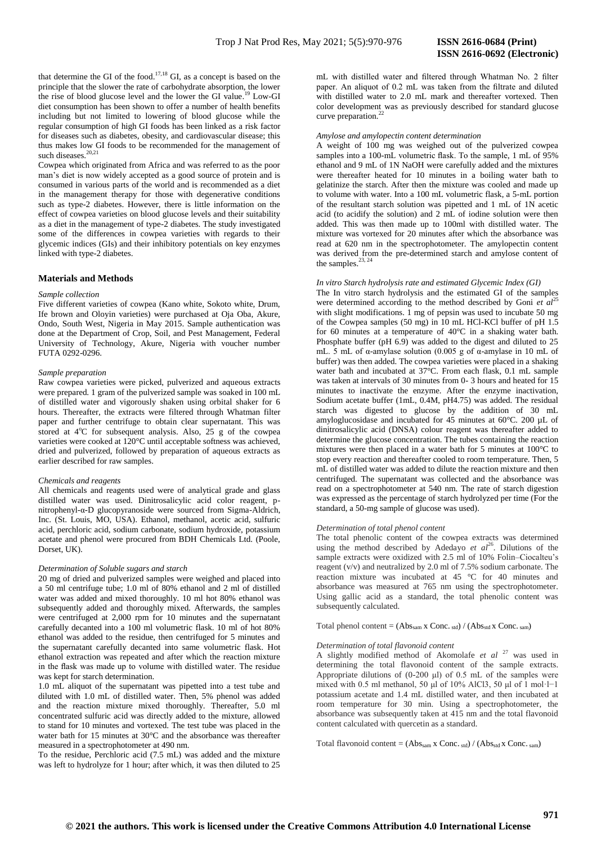that determine the GI of the food.<sup>17,18</sup> GI, as a concept is based on the principle that the slower the rate of carbohydrate absorption, the lower the rise of blood glucose level and the lower the GI value.<sup>19</sup> Low-GI diet consumption has been shown to offer a number of health benefits including but not limited to lowering of blood glucose while the regular consumption of high GI foods has been linked as a risk factor for diseases such as diabetes, obesity, and cardiovascular disease; this thus makes low GI foods to be recommended for the management of such diseases. 20,21

Cowpea which originated from Africa and was referred to as the poor man"s diet is now widely accepted as a good source of protein and is consumed in various parts of the world and is recommended as a diet in the management therapy for those with degenerative conditions such as type-2 diabetes. However, there is little information on the effect of cowpea varieties on blood glucose levels and their suitability as a diet in the management of type-2 diabetes. The study investigated some of the differences in cowpea varieties with regards to their glycemic indices (GIs) and their inhibitory potentials on key enzymes linked with type-2 diabetes.

## **Materials and Methods**

#### *Sample collection*

Five different varieties of cowpea (Kano white, Sokoto white, Drum, Ife brown and Oloyin varieties) were purchased at Oja Oba, Akure, Ondo, South West, Nigeria in May 2015. Sample authentication was done at the Department of Crop, Soil, and Pest Management, Federal University of Technology, Akure, Nigeria with voucher number FUTA 0292-0296.

#### *Sample preparation*

Raw cowpea varieties were picked, pulverized and aqueous extracts were prepared. 1 gram of the pulverized sample was soaked in 100 mL of distilled water and vigorously shaken using orbital shaker for 6 hours. Thereafter, the extracts were filtered through Whatman filter paper and further centrifuge to obtain clear supernatant. This was stored at  $4^{\circ}$ C for subsequent analysis. Also, 25 g of the cowpea varieties were cooked at 120°C until acceptable softness was achieved, dried and pulverized, followed by preparation of aqueous extracts as earlier described for raw samples.

## *Chemicals and reagents*

All chemicals and reagents used were of analytical grade and glass distilled water was used. Dinitrosalicylic acid color reagent, pnitrophenyl-α-D glucopyranoside were sourced from Sigma-Aldrich, Inc. (St. Louis, MO, USA). Ethanol, methanol, acetic acid, sulfuric acid, perchloric acid, sodium carbonate, sodium hydroxide, potassium acetate and phenol were procured from BDH Chemicals Ltd. (Poole, Dorset, UK).

#### *Determination of Soluble sugars and starch*

20 mg of dried and pulverized samples were weighed and placed into a 50 ml centrifuge tube; 1.0 ml of 80% ethanol and 2 ml of distilled water was added and mixed thoroughly. 10 ml hot 80% ethanol was subsequently added and thoroughly mixed. Afterwards, the samples were centrifuged at 2,000 rpm for 10 minutes and the supernatant carefully decanted into a 100 ml volumetric flask. 10 ml of hot 80% ethanol was added to the residue, then centrifuged for 5 minutes and the supernatant carefully decanted into same volumetric flask. Hot ethanol extraction was repeated and after which the reaction mixture in the flask was made up to volume with distilled water. The residue was kept for starch determination.

1.0 mL aliquot of the supernatant was pipetted into a test tube and diluted with 1.0 mL of distilled water. Then, 5% phenol was added and the reaction mixture mixed thoroughly. Thereafter, 5.0 ml concentrated sulfuric acid was directly added to the mixture, allowed to stand for 10 minutes and vortexed. The test tube was placed in the water bath for 15 minutes at 30°C and the absorbance was thereafter measured in a spectrophotometer at 490 nm.

To the residue, Perchloric acid (7.5 mL) was added and the mixture was left to hydrolyze for 1 hour; after which, it was then diluted to 25

mL with distilled water and filtered through Whatman No. 2 filter paper. An aliquot of 0.2 mL was taken from the filtrate and diluted with distilled water to 2.0 mL mark and thereafter vortexed. Then color development was as previously described for standard glucose curve preparation. 22

#### *Amylose and amylopectin content determination*

A weight of 100 mg was weighed out of the pulverized cowpea samples into a 100-mL volumetric flask. To the sample, 1 mL of 95% ethanol and 9 mL of 1N NaOH were carefully added and the mixtures were thereafter heated for 10 minutes in a boiling water bath to gelatinize the starch. After then the mixture was cooled and made up to volume with water. Into a 100 mL volumetric flask, a 5-mL portion of the resultant starch solution was pipetted and 1 mL of 1N acetic acid (to acidify the solution) and 2 mL of iodine solution were then added. This was then made up to 100ml with distilled water. The mixture was vortexed for 20 minutes after which the absorbance was read at 620 nm in the spectrophotometer. The amylopectin content was derived from the pre-determined starch and amylose content of the samples. $23, 24$ 

## *In vitro Starch hydrolysis rate and estimated Glycemic Index (GI)*

The In vitro starch hydrolysis and the estimated GI of the samples were determined according to the method described by Goni *et al*<sup>25</sup> with slight modifications. 1 mg of pepsin was used to incubate 50 mg of the Cowpea samples (50 mg) in 10 mL HCl-KCl buffer of pH 1.5 for 60 minutes at a temperature of 40°C in a shaking water bath. Phosphate buffer (pH 6.9) was added to the digest and diluted to 25 mL. 5 mL of  $\alpha$ -amylase solution (0.005 g of  $\alpha$ -amylase in 10 mL of buffer) was then added. The cowpea varieties were placed in a shaking water bath and incubated at 37°C. From each flask, 0.1 mL sample was taken at intervals of 30 minutes from 0- 3 hours and heated for 15 minutes to inactivate the enzyme. After the enzyme inactivation, Sodium acetate buffer (1mL, 0.4M, pH4.75) was added. The residual starch was digested to glucose by the addition of 30 mL amyloglucosidase and incubated for 45 minutes at 60°C. 200 µL of dinitrosalicylic acid (DNSA) colour reagent was thereafter added to determine the glucose concentration. The tubes containing the reaction mixtures were then placed in a water bath for 5 minutes at 100°C to stop every reaction and thereafter cooled to room temperature. Then, 5 mL of distilled water was added to dilute the reaction mixture and then centrifuged. The supernatant was collected and the absorbance was read on a spectrophotometer at 540 nm. The rate of starch digestion was expressed as the percentage of starch hydrolyzed per time (For the standard, a 50-mg sample of glucose was used).

## *Determination of total phenol content*

The total phenolic content of the cowpea extracts was determined using the method described by Adedayo *et al*<sup>26</sup>. Dilutions of the sample extracts were oxidized with 2.5 ml of 10% Folin–Ciocalteu's reagent (v/v) and neutralized by 2.0 ml of 7.5% sodium carbonate. The reaction mixture was incubated at 45 °C for 40 minutes and absorbance was measured at 765 nm using the spectrophotometer. Using gallic acid as a standard, the total phenolic content was subsequently calculated.

Total phenol content =  $(Abs_{sam} x$  Conc. std) /  $(Abs_{std} x$  Conc. sam)

#### *Determination of total flavonoid content*

A slightly modified method of Akomolafe *et al* <sup>27</sup> was used in determining the total flavonoid content of the sample extracts. Appropriate dilutions of (0-200 μl) of 0.5 mL of the samples were mixed with 0.5 ml methanol, 50 μl of 10% AlCl3, 50 μl of 1 mol·l−1 potassium acetate and 1.4 mL distilled water, and then incubated at room temperature for 30 min. Using a spectrophotometer, the absorbance was subsequently taken at 415 nm and the total flavonoid content calculated with quercetin as a standard.

Total flavonoid content =  $(Abs_{sam} x$  Conc. std) /  $(Abs_{std} x$  Conc. sam)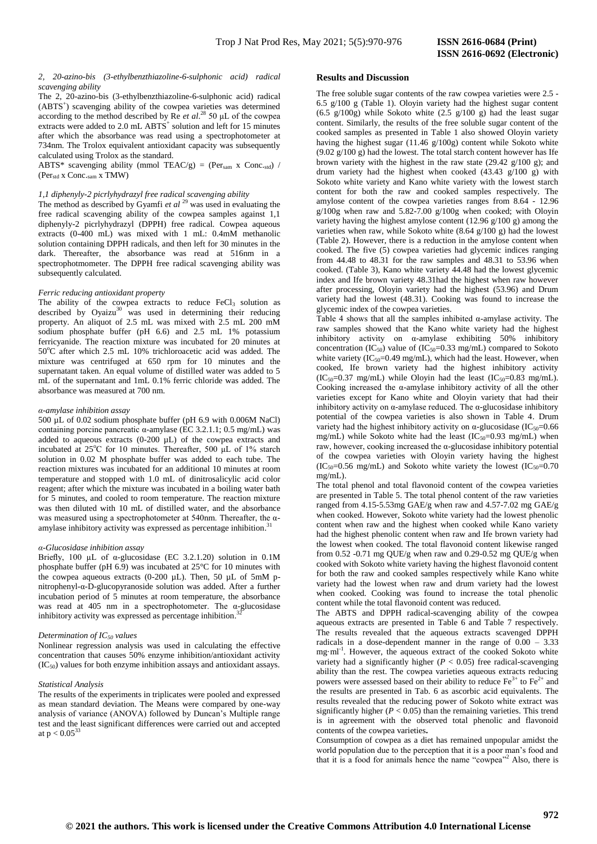## *2, 20-azino-bis (3-ethylbenzthiazoline-6-sulphonic acid) radical scavenging ability*

The 2, 20-azino-bis (3-ethylbenzthiazoline-6-sulphonic acid) radical (ABTS<sup>+</sup>) scavenging ability of the cowpea varieties was determined according to the method described by Re *et al*. <sup>28</sup> 50 μL of the cowpea extracts were added to 2.0 mL ABTS<sup>+</sup> solution and left for 15 minutes after which the absorbance was read using a spectrophotometer at 734nm. The Trolox equivalent antioxidant capacity was subsequently calculated using Trolox as the standard.

ABTS\* scavenging ability (mmol TEAC/g) = (Per<sub>sam</sub> x Conc.std) / (Perstd x Conc.sam x TMW)

#### *1,1 diphenyly-2 picrlyhydrazyl free radical scavenging ability*

The method as described by Gyamfi *et al* <sup>29</sup> was used in evaluating the free radical scavenging ability of the cowpea samples against 1,1 diphenyly-2 picrlyhydrazyl (DPPH) free radical. Cowpea aqueous extracts (0-400 mL) was mixed with 1 mL: 0.4mM methanolic solution containing DPPH radicals, and then left for 30 minutes in the dark. Thereafter, the absorbance was read at 516nm in a spectrophotmometer. The DPPH free radical scavenging ability was subsequently calculated.

### *Ferric reducing antioxidant property*

The ability of the cowpea extracts to reduce  $FeCl<sub>3</sub>$  solution as described by Oyaizu<sup>30</sup> was used in determining their reducing property. An aliquot of 2.5 mL was mixed with 2.5 mL 200 mM sodium phosphate buffer (pH 6.6) and 2.5 mL 1% potassium ferricyanide. The reaction mixture was incubated for 20 minutes at  $50^{\circ}$ C after which 2.5 mL 10% trichloroacetic acid was added. The mixture was centrifuged at 650 rpm for 10 minutes and the supernatant taken. An equal volume of distilled water was added to 5 mL of the supernatant and 1mL 0.1% ferric chloride was added. The absorbance was measured at 700 nm.

### *α-amylase inhibition assay*

500 µL of 0.02 sodium phosphate buffer (pH 6.9 with 0.006M NaCl) containing porcine pancreatic α-amylase (EC 3.2.1.1; 0.5 mg/mL) was added to aqueous extracts (0-200 µL) of the cowpea extracts and incubated at  $25^{\circ}$ C for 10 minutes. Thereafter, 500 μL of 1% starch solution in 0.02 M phosphate buffer was added to each tube. The reaction mixtures was incubated for an additional 10 minutes at room temperature and stopped with 1.0 mL of dinitrosalicylic acid color reagent; after which the mixture was incubated in a boiling water bath for 5 minutes, and cooled to room temperature. The reaction mixture was then diluted with 10 mL of distilled water, and the absorbance was measured using a spectrophotometer at 540nm. Thereafter, the αamylase inhibitory activity was expressed as percentage inhibition. 31

## *α-Glucosidase inhibition assay*

Briefly, 100 µL of  $\alpha$ -glucosidase (EC 3.2.1.20) solution in 0.1M phosphate buffer (pH 6.9) was incubated at 25°C for 10 minutes with the cowpea aqueous extracts (0-200  $\mu$ L). Then, 50  $\mu$ L of 5mM pnitrophenyl-α-D-glucopyranoside solution was added. After a further incubation period of 5 minutes at room temperature, the absorbance was read at 405 nm in a spectrophotometer. The  $\alpha$ -glucosidase inhibitory equivalently use expressed as perceptage inhibition  $3^2$ inhibitory activity was expressed as percentage inhibition.

#### *Determination of IC<sup>50</sup> values*

Nonlinear regression analysis was used in calculating the effective concentration that causes 50% enzyme inhibition/antioxidant activity  $(IC<sub>50</sub>)$  values for both enzyme inhibition assays and antioxidant assays.

## *Statistical Analysis*

The results of the experiments in triplicates were pooled and expressed as mean standard deviation. The Means were compared by one-way analysis of variance (ANOVA) followed by Duncan"s Multiple range test and the least significant differences were carried out and accepted at  $p < 0.05^{33}$ 

## **Results and Discussion**

The free soluble sugar contents of the raw cowpea varieties were 2.5 - 6.5 g/100 g (Table 1). Oloyin variety had the highest sugar content (6.5 g/100g) while Sokoto white (2.5 g/100 g) had the least sugar content. Similarly, the results of the free soluble sugar content of the cooked samples as presented in Table 1 also showed Oloyin variety having the highest sugar (11.46 g/100g) content while Sokoto white  $(9.02 \text{ g}/100 \text{ g})$  had the lowest. The total starch content however has Ife brown variety with the highest in the raw state  $(29.42 \text{ g}/100 \text{ g})$ ; and drum variety had the highest when cooked  $(43.43 \text{ g}/100 \text{ g})$  with Sokoto white variety and Kano white variety with the lowest starch content for both the raw and cooked samples respectively. The amylose content of the cowpea varieties ranges from 8.64 - 12.96 g/100g when raw and 5.82-7.00 g/100g when cooked; with Oloyin variety having the highest amylose content (12.96 g/100 g) among the varieties when raw, while Sokoto white  $(8.64 \text{ g}/100 \text{ g})$  had the lowest (Table 2). However, there is a reduction in the amylose content when cooked. The five (5) cowpea varieties had glycemic indices ranging from 44.48 to 48.31 for the raw samples and 48.31 to 53.96 when cooked. (Table 3), Kano white variety 44.48 had the lowest glycemic index and Ife brown variety 48.31had the highest when raw however after processing, Oloyin variety had the highest (53.96) and Drum variety had the lowest (48.31). Cooking was found to increase the glycemic index of the cowpea varieties.

Table 4 shows that all the samples inhibited  $\alpha$ -amylase activity. The raw samples showed that the Kano white variety had the highest inhibitory activity on α-amylase exhibiting 50% inhibitory concentration (IC<sub>50</sub>) value of (IC<sub>50</sub>=0.33 mg/mL) compared to Sokoto white variety (IC<sub>50</sub>=0.49 mg/mL), which had the least. However, when cooked, Ife brown variety had the highest inhibitory activity  $(IC<sub>50</sub>=0.37 mg/mL)$  while Oloyin had the least  $(IC<sub>50</sub>=0.83 mg/mL)$ . Cooking increased the  $\alpha$ -amylase inhibitory activity of all the other varieties except for Kano white and Oloyin variety that had their inhibitory activity on  $\alpha$ -amylase reduced. The  $\alpha$ -glucosidase inhibitory potential of the cowpea varieties is also shown in Table 4. Drum variety had the highest inhibitory activity on  $\alpha$ -glucosidase (IC<sub>50</sub>=0.66 mg/mL) while Sokoto white had the least  $(IC_{50}=0.93 \text{ mg/mL})$  when raw, however, cooking increased the α-glucosidase inhibitory potential of the cowpea varieties with Oloyin variety having the highest  $(IC<sub>50</sub>=0.56 mg/mL)$  and Sokoto white variety the lowest  $(IC<sub>50</sub>=0.70$ mg/mL).

The total phenol and total flavonoid content of the cowpea varieties are presented in Table 5. The total phenol content of the raw varieties ranged from 4.15-5.53mg GAE/g when raw and 4.57-7.02 mg GAE/g when cooked. However, Sokoto white variety had the lowest phenolic content when raw and the highest when cooked while Kano variety had the highest phenolic content when raw and Ife brown variety had the lowest when cooked. The total flavonoid content likewise ranged from  $0.52$  -0.71 mg QUE/g when raw and  $0.29$ -0.52 mg QUE/g when cooked with Sokoto white variety having the highest flavonoid content for both the raw and cooked samples respectively while Kano white variety had the lowest when raw and drum variety had the lowest when cooked. Cooking was found to increase the total phenolic content while the total flavonoid content was reduced.

The ABTS and DPPH radical-scavenging ability of the cowpea aqueous extracts are presented in Table 6 and Table 7 respectively. The results revealed that the aqueous extracts scavenged DPPH radicals in a dose-dependent manner in the range of  $0.00 - 3.33$ mg·ml<sup>-1</sup>. However, the aqueous extract of the cooked Sokoto white variety had a significantly higher  $(P < 0.05)$  free radical-scavenging ability than the rest. The cowpea varieties aqueous extracts reducing powers were assessed based on their ability to reduce  $Fe^{3+}$  to  $Fe^{2+}$  and the results are presented in Tab. 6 as ascorbic acid equivalents. The results revealed that the reducing power of Sokoto white extract was significantly higher  $(P < 0.05)$  than the remaining varieties. This trend is in agreement with the observed total phenolic and flavonoid contents of the cowpea varieties**.**

Consumption of cowpea as a diet has remained unpopular amidst the world population due to the perception that it is a poor man"s food and that it is a food for animals hence the name "cowpea" <sup>2</sup> Also, there is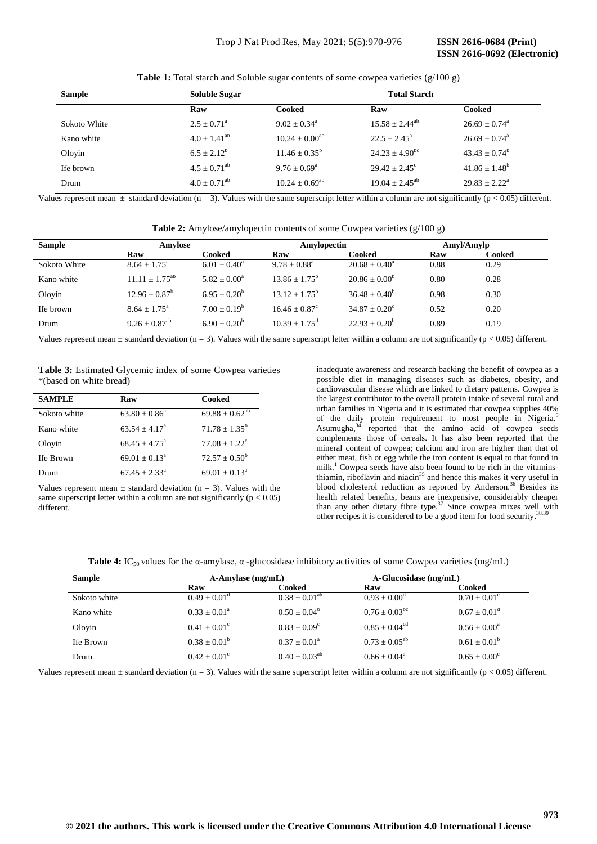**Table 1:** Total starch and Soluble sugar contents of some cowpea varieties (g/100 g)

| <b>Sample</b> | <b>Soluble Sugar</b>      |                            | <b>Total Starch</b>          |                             |  |
|---------------|---------------------------|----------------------------|------------------------------|-----------------------------|--|
|               | Raw                       | Cooked                     | Raw                          | Cooked                      |  |
| Sokoto White  | $2.5 + 0.71$ <sup>a</sup> | $9.02 + 0.34$ <sup>a</sup> | $15.58 + 2.44^{ab}$          | $26.69 + 0.74$ <sup>a</sup> |  |
| Kano white    | $4.0 + 1.41^{ab}$         | $10.24 \pm 0.00^{ab}$      | $22.5 + 2.45^{\circ}$        | $26.69 + 0.74$ <sup>a</sup> |  |
| Oloyin        | $6.5 + 2.12^b$            | $11.46 + 0.35^b$           | $24.23 + 4.90^{bc}$          | $43.43 + 0.74^b$            |  |
| Ife brown     | $4.5 + 0.71^{ab}$         | $9.76 + 0.69^{\circ}$      | $29.42 + 2.45^{\circ}$       | $41.86 + 1.48^b$            |  |
| Drum          | $4.0 + 0.71^{ab}$         | $10.24 \pm 0.69^{\rm ab}$  | $19.04 \pm 2.45^{\text{ab}}$ | $29.83 + 2.22^a$            |  |

Values represent mean  $\pm$  standard deviation (n = 3). Values with the same superscript letter within a column are not significantly (p < 0.05) different.

| Table 2: Amylose/amylopectin contents of some Cowpea varieties (g/100 g) |  |  |
|--------------------------------------------------------------------------|--|--|
|--------------------------------------------------------------------------|--|--|

| <b>Sample</b> | Amylose                       |                 | Amylopectin                 |                          | Amyl/Amylp |        |
|---------------|-------------------------------|-----------------|-----------------------------|--------------------------|------------|--------|
|               | Raw                           | Cooked          | Raw                         | Cooked                   | Raw        | Cooked |
| Sokoto White  | $8.64 + 1.75^{\circ}$         | $6.01 + 0.40^a$ | $9.78 + 0.88^a$             | $20.68 \pm 0.40^{\circ}$ | 0.88       | 0.29   |
| Kano white    | $11.11 \pm 1.75^{ab}$         | $5.82 + 0.00^a$ | $13.86 \pm 1.75^{\rm b}$    | $20.86 \pm 0.00^b$       | 0.80       | 0.28   |
| Oloyin        | $12.96 \pm 0.87^b$            | $6.95 + 0.20^b$ | $13.12 \pm 1.75^{\circ}$    | $36.48 + 0.40^b$         | 0.98       | 0.30   |
| Ife brown     | $8.64 + 1.75^{\circ}$         | $7.00 + 0.19^b$ | $16.46 + 0.87^{\circ}$      | $34.87 + 0.20^{\circ}$   | 0.52       | 0.20   |
| Drum          | $9.26 \pm 0.87$ <sup>ab</sup> | $6.90 + 0.20^b$ | $10.39 \pm 1.75^{\text{d}}$ | $22.93 \pm 0.20^b$       | 0.89       | 0.19   |

Values represent mean  $\pm$  standard deviation (n = 3). Values with the same superscript letter within a column are not significantly (p < 0.05) different.

**Table 3:** Estimated Glycemic index of some Cowpea varieties \*(based on white bread)

| <b>SAMPLE</b> | Raw                    | Cooked                 |
|---------------|------------------------|------------------------|
| Sokoto white  | $63.80 + 0.86^a$       | $69.88 \pm 0.62^{ab}$  |
| Kano white    | $63.54 + 4.17a$        | $71.78 + 1.35^b$       |
| Olovin        | $68.45 + 4.75^{\circ}$ | $77.08 + 1.22^{\circ}$ |
| Ife Brown     | $69.01 + 0.13a$        | $72.57 \pm 0.50^b$     |
| Drum          | $67.45 + 2.33a$        | $69.01 + 0.13a$        |

Values represent mean  $\pm$  standard deviation (n = 3). Values with the same superscript letter within a column are not significantly ( $p < 0.05$ ) different.

inadequate awareness and research backing the benefit of cowpea as a possible diet in managing diseases such as diabetes, obesity, and cardiovascular disease which are linked to dietary patterns. Cowpea is the largest contributor to the overall protein intake of several rural and urban families in Nigeria and it is estimated that cowpea supplies 40% of the daily protein requirement to most people in Nigeria.<sup>3</sup> Asumugha,<sup>34</sup> reported that the amino acid of cowpea seeds complements those of cereals. It has also been reported that the mineral content of cowpea; calcium and iron are higher than that of either meat, fish or egg while the iron content is equal to that found in milk.<sup>1</sup> Cowpea seeds have also been found to be rich in the vitaminsthiamin, riboflavin and niacin<sup>35</sup> and hence this makes it very useful in blood cholesterol reduction as reported by Anderson. <sup>36</sup> Besides its health related benefits, beans are inexpensive, considerably cheaper than any other dietary fibre type.<sup>37</sup> Since cowpea mixes well with other recipes it is considered to be a good item for food security.<sup>38,39</sup>

| <b>Table 4:</b> IC <sub>50</sub> values for the $\alpha$ -amylase, $\alpha$ -glucosidase inhibitory activities of some Cowpea varieties (mg/mL) |  |  |  |
|-------------------------------------------------------------------------------------------------------------------------------------------------|--|--|--|
|-------------------------------------------------------------------------------------------------------------------------------------------------|--|--|--|

| <b>Sample</b> | $A$ -Amylase (mg/mL)  |                       | $A-Glucosidase$ (mg/mL)     |                         |  |
|---------------|-----------------------|-----------------------|-----------------------------|-------------------------|--|
|               | Raw                   | Cooked                | Raw                         | Cooked                  |  |
| Sokoto white  | $0.49 + 0.01^d$       | $0.38 \pm 0.01^{ab}$  | $0.93 + 0.00^{\circ}$       | $0.70 \pm 0.01^{\circ}$ |  |
| Kano white    | $0.33 + 0.01^a$       | $0.50 + 0.04^b$       | $0.76 + 0.03^{bc}$          | $0.67 + 0.01^d$         |  |
| Olovin        | $0.41 + 0.01^{\circ}$ | $0.83 + 0.09^{\circ}$ | $0.85 \pm 0.04^{\text{cd}}$ | $0.56 + 0.00^a$         |  |
| Ife Brown     | $0.38 + 0.01^b$       | $0.37 + 0.01^a$       | $0.73 + 0.05^{ab}$          | $0.61 + 0.01^b$         |  |
| Drum          | $0.42 + 0.01^{\circ}$ | $0.40 + 0.03^{ab}$    | $0.66 + 0.04^a$             | $0.65 + 0.00^{\circ}$   |  |

Values represent mean  $\pm$  standard deviation (n = 3). Values with the same superscript letter within a column are not significantly (p < 0.05) different.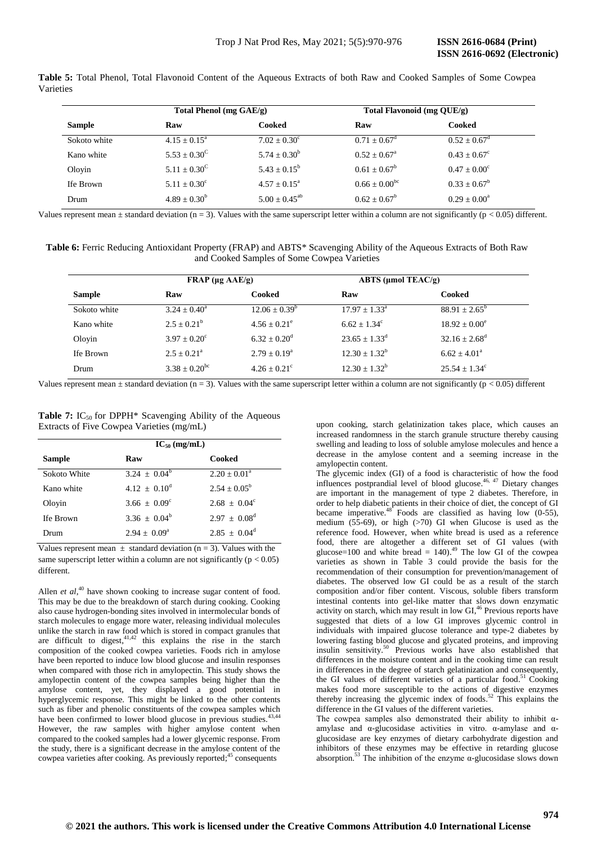|           |  |  |  |  |  | <b>Table 5:</b> Total Phenol, Total Flavonoid Content of the Aqueous Extracts of both Raw and Cooked Samples of Some Cowpea |  |  |
|-----------|--|--|--|--|--|-----------------------------------------------------------------------------------------------------------------------------|--|--|
| Varieties |  |  |  |  |  |                                                                                                                             |  |  |

|               | Total Phenol (mg GAE/g) |                       | Total Flavonoid (mg QUE/g) |                         |  |  |
|---------------|-------------------------|-----------------------|----------------------------|-------------------------|--|--|
| <b>Sample</b> | Raw                     | Cooked                | Raw                        | Cooked                  |  |  |
| Sokoto white  | $4.15 \pm 0.15^{\circ}$ | $7.02 + 0.30^{\circ}$ | $0.71 + 0.67^{\text{d}}$   | $0.52 \pm 0.67^{\circ}$ |  |  |
| Kano white    | $5.53 + 0.30^{\circ}$   | $5.74 \pm 0.30^b$     | $0.52 + 0.67^{\circ}$      | $0.43 + 0.67^{\circ}$   |  |  |
| Olovin        | $5.11 + 0.30^{\circ}$   | $5.43 + 0.15^b$       | $0.61 + 0.67^b$            | $0.47 + 0.00^{\circ}$   |  |  |
| Ife Brown     | $5.11 \pm 0.30^{\circ}$ | $4.57 + 0.15^a$       | $0.66 + 0.00^{bc}$         | $0.33 \pm 0.67^b$       |  |  |
| Drum          | $4.89 + 0.30^{b}$       | $5.00 \pm 0.45^{ab}$  | $0.62 + 0.67^b$            | $0.29 + 0.00^a$         |  |  |

Values represent mean  $\pm$  standard deviation (n = 3). Values with the same superscript letter within a column are not significantly (p < 0.05) different.

**Table 6:** Ferric Reducing Antioxidant Property (FRAP) and ABTS\* Scavenging Ability of the Aqueous Extracts of Both Raw and Cooked Samples of Some Cowpea Varieties

|               | $\mathbf{FRAP}$ (µg $\mathbf{AAE/g}$ ) |                         | ABTS ( $\mu$ mol TEAC/g)    |                          |  |
|---------------|----------------------------------------|-------------------------|-----------------------------|--------------------------|--|
| <b>Sample</b> | Raw                                    | Cooked                  | Raw                         | Cooked                   |  |
| Sokoto white  | $3.24 + 0.40^a$                        | $12.06 + 0.39^b$        | $17.97 + 1.33a$             | $88.91 \pm 2.65^{\circ}$ |  |
| Kano white    | $2.5 + 0.21^b$                         | $4.56 \pm 0.21^{\circ}$ | $6.62 + 1.34^c$             | $18.92 + 0.00^e$         |  |
| Oloyin        | $3.97 + 0.20^{\circ}$                  | $6.32 + 0.20^d$         | $23.65 \pm 1.33^{\text{d}}$ | $32.16 + 2.68^d$         |  |
| Ife Brown     | $2.5 + 0.21^a$                         | $2.79 + 0.19^a$         | $12.30 + 1.32^b$            | $6.62 + 4.01^a$          |  |
| Drum          | $3.38 \pm 0.20^{\rm bc}$               | $4.26 + 0.21^{\circ}$   | $12.30 + 1.32^b$            | $25.54 + 1.34^{\circ}$   |  |

Values represent mean  $\pm$  standard deviation (n = 3). Values with the same superscript letter within a column are not significantly (p < 0.05) different

**Table 7:** IC<sub>50</sub> for DPPH<sup>\*</sup> Scavenging Ability of the Aqueous Extracts of Five Cowpea Varieties (mg/mL)

|               | $IC_{50}$ (mg/mL)     |                   |  |  |
|---------------|-----------------------|-------------------|--|--|
| <b>Sample</b> | Raw                   | Cooked            |  |  |
| Sokoto White  | $3.24 \pm 0.04^b$     | $2.20 + 0.01^a$   |  |  |
| Kano white    | $4.12 + 0.10^d$       | $2.54 + 0.05^b$   |  |  |
| Oloyin        | $3.66 + 0.09^{\circ}$ | $2.68 \pm 0.04^c$ |  |  |
| Ife Brown     | $3.36 \pm 0.04^b$     | $2.97 + 0.08^d$   |  |  |
| Drum          | $2.94 + 0.09^{\circ}$ | $2.85 + 0.04^d$   |  |  |

Values represent mean  $\pm$  standard deviation (n = 3). Values with the same superscript letter within a column are not significantly ( $p < 0.05$ ) different.

Allen *et al*,<sup>40</sup> have shown cooking to increase sugar content of food. This may be due to the breakdown of starch during cooking. Cooking also cause hydrogen-bonding sites involved in intermolecular bonds of starch molecules to engage more water, releasing individual molecules unlike the starch in raw food which is stored in compact granules that are difficult to digest,  $4^{1,42}$  this explains the rise in the starch composition of the cooked cowpea varieties. Foods rich in amylose have been reported to induce low blood glucose and insulin responses when compared with those rich in amylopectin. This study shows the amylopectin content of the cowpea samples being higher than the amylose content, yet, they displayed a good potential in hyperglycemic response. This might be linked to the other contents such as fiber and phenolic constituents of the cowpea samples which have been confirmed to lower blood glucose in previous studies.<sup>43,44</sup> However, the raw samples with higher amylose content when compared to the cooked samples had a lower glycemic response. From the study, there is a significant decrease in the amylose content of the cowpea varieties after cooking. As previously reported; <sup>45</sup> consequents

upon cooking, starch gelatinization takes place, which causes an increased randomness in the starch granule structure thereby causing swelling and leading to loss of soluble amylose molecules and hence a decrease in the amylose content and a seeming increase in the amylopectin content.

The glycemic index (GI) of a food is characteristic of how the food influences postprandial level of blood glucose. 46, 47 Dietary changes are important in the management of type 2 diabetes. Therefore, in order to help diabetic patients in their choice of diet, the concept of GI became imperative.<sup>48</sup> Foods are classified as having low  $(0-55)$ , medium (55-69), or high  $(>70)$  GI when Glucose is used as the reference food. However, when white bread is used as a reference food, there are altogether a different set of GI values (with glucose=100 and white bread =  $140$ ).<sup>49</sup> The low GI of the cowpea varieties as shown in Table 3 could provide the basis for the recommendation of their consumption for prevention/management of diabetes. The observed low GI could be as a result of the starch composition and/or fiber content. Viscous, soluble fibers transform intestinal contents into gel-like matter that slows down enzymatic activity on starch, which may result in low GI, <sup>46</sup> Previous reports have suggested that diets of a low GI improves glycemic control in individuals with impaired glucose tolerance and type-2 diabetes by lowering fasting blood glucose and glycated proteins, and improving insulin sensitivity. <sup>50</sup> Previous works have also established that differences in the moisture content and in the cooking time can result in differences in the degree of starch gelatinization and consequently, the GI values of different varieties of a particular food.<sup>51</sup> Cooking makes food more susceptible to the actions of digestive enzymes thereby increasing the glycemic index of foods. <sup>52</sup> This explains the difference in the GI values of the different varieties.

The cowpea samples also demonstrated their ability to inhibit  $\alpha$ amylase and  $\alpha$ -glucosidase activities in vitro.  $\alpha$ -amylase and  $\alpha$ glucosidase are key enzymes of dietary carbohydrate digestion and inhibitors of these enzymes may be effective in retarding glucose absorption.<sup>53</sup> The inhibition of the enzyme  $\alpha$ -glucosidase slows down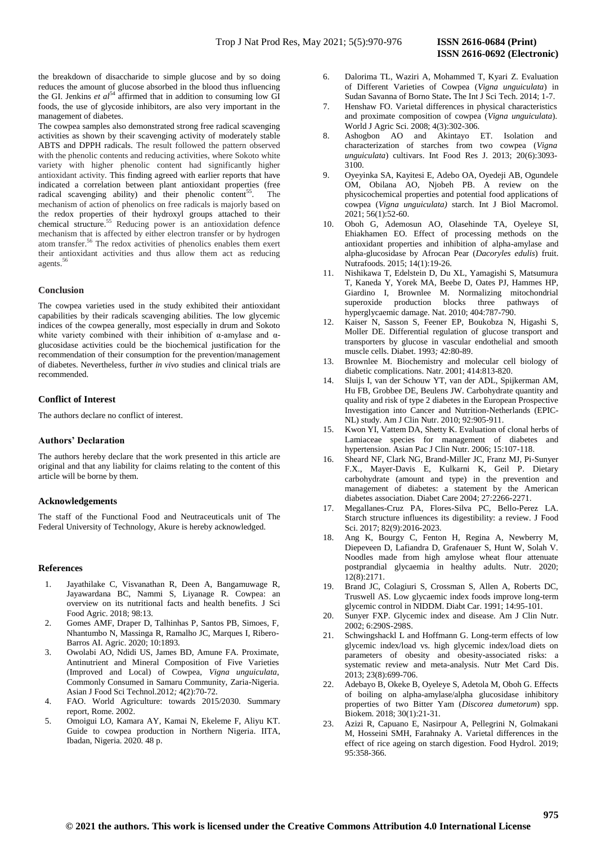the breakdown of disaccharide to simple glucose and by so doing reduces the amount of glucose absorbed in the blood thus influencing the GI. Jenkins *et al*<sup>54</sup> affirmed that in addition to consuming low GI foods, the use of glycoside inhibitors, are also very important in the management of diabetes.

The cowpea samples also demonstrated strong free radical scavenging activities as shown by their scavenging activity of moderately stable ABTS and DPPH radicals. The result followed the pattern observed with the phenolic contents and reducing activities, where Sokoto white variety with higher phenolic content had significantly higher antioxidant activity. This finding agreed with earlier reports that have indicated a correlation between plant antioxidant properties (free radical scavenging ability) and their phenolic content<sup>55</sup>. The mechanism of action of phenolics on free radicals is majorly based on the redox properties of their hydroxyl groups attached to their chemical structure. <sup>55</sup> Reducing power is an antioxidation defence mechanism that is affected by either electron transfer or by hydrogen atom transfer. <sup>56</sup> The redox activities of phenolics enables them exert their antioxidant activities and thus allow them act as reducing agents. 56

## **Conclusion**

The cowpea varieties used in the study exhibited their antioxidant capabilities by their radicals scavenging abilities. The low glycemic indices of the cowpea generally, most especially in drum and Sokoto white variety combined with their inhibition of  $\alpha$ -amylase and  $\alpha$ glucosidase activities could be the biochemical justification for the recommendation of their consumption for the prevention/management of diabetes. Nevertheless, further *in vivo* studies and clinical trials are recommended.

## **Conflict of Interest**

The authors declare no conflict of interest.

## **Authors' Declaration**

The authors hereby declare that the work presented in this article are original and that any liability for claims relating to the content of this article will be borne by them.

## **Acknowledgements**

The staff of the Functional Food and Neutraceuticals unit of The Federal University of Technology, Akure is hereby acknowledged.

#### **References**

- 1. Jayathilake C, Visvanathan R, Deen A, Bangamuwage R, Jayawardana BC, Nammi S, Liyanage R. Cowpea: an overview on its nutritional facts and health benefits. J Sci Food Agric. 2018; 98:13.
- 2. Gomes AMF, Draper D, Talhinhas P, Santos PB, Simoes, F, Nhantumbo N, Massinga R, Ramalho JC, Marques I, Ribero-Barros AI. Agric. 2020; 10:1893.
- 3. Owolabi AO, Ndidi US, James BD, Amune FA. Proximate, Antinutrient and Mineral Composition of Five Varieties (Improved and Local) of Cowpea, *Vigna unguiculata*, Commonly Consumed in Samaru Community, Zaria-Nigeria. Asian J Food Sci Technol.2012*;* 4**(**2):70-72.
- 4. FAO. World Agriculture: towards 2015/2030. Summary report, Rome. 2002.
- 5. Omoigui LO, Kamara AY, Kamai N, Ekeleme F, Aliyu KT. Guide to cowpea production in Northern Nigeria. IITA, Ibadan, Nigeria. 2020. 48 p.
- 6. Dalorima TL, Waziri A, Mohammed T, Kyari Z. Evaluation of Different Varieties of Cowpea (*Vigna unguiculata*) in Sudan Savanna of Borno State**.** The Int J Sci Tech. 2014; 1-7.
- 7. Henshaw FO. Varietal differences in physical characteristics and proximate composition of cowpea (*Vigna unguiculata*). World J Agric Sci. 2008; 4(3):302-306.
- 8. Ashogbon AO and Akintayo ET. Isolation and characterization of starches from two cowpea (*Vigna unguiculata*) cultivars. Int Food Res J. 2013; 20(6):3093- 3100.
- 9. Oyeyinka SA, Kayitesi E, Adebo OA, Oyedeji AB, Ogundele OM, Obilana AO, Njobeh PB. A review on the physicochemical properties and potential food applications of cowpea (*Vigna unguiculata)* starch. Int J Biol Macromol.  $2021$ ; 56(1):52-60.
- 10. Oboh G, Ademosun AO, Olasehinde TA, Oyeleye SI, Ehiakhamen EO. Effect of processing methods on the antioxidant properties and inhibition of alpha-amylase and alpha-glucosidase by Afrocan Pear (*Dacoryles edulis*) fruit. Nutrafoods. 2015; 14(1):19-26.
- 11. Nishikawa T, Edelstein D, Du XL, Yamagishi S, Matsumura T, Kaneda Y, Yorek MA, Beebe D, Oates PJ, Hammes HP, Giardino I, Brownlee M. Normalizing mitochondrial superoxide production blocks three pathways of hyperglycaemic damage. Nat. 2010; 404:787-790.
- 12. Kaiser N, Sasson S, Feener EP, Boukobza N, Higashi S, Moller DE. Differential regulation of glucose transport and transporters by glucose in vascular endothelial and smooth muscle cells. Diabet. 1993*;* 42:80-89.
- 13. Brownlee M. Biochemistry and molecular cell biology of diabetic complications. Natr. 2001; 414:813-820.
- 14. Sluijs I, van der Schouw YT, van der ADL, Spijkerman AM, Hu FB, Grobbee DE, Beulens JW. Carbohydrate quantity and quality and risk of type 2 diabetes in the European Prospective Investigation into Cancer and Nutrition-Netherlands (EPIC-NL) study. Am J Clin Nutr. 2010; 92:905-911.
- 15. Kwon YI, Vattem DA, Shetty K. Evaluation of clonal herbs of Lamiaceae species for management of diabetes and hypertension. Asian Pac J Clin Nutr. 2006; 15:107-118.
- 16. Sheard NF, Clark NG, Brand-Miller JC, Franz MJ, Pi-Sunyer F.X., Mayer-Davis E, Kulkarni K, Geil P. Dietary carbohydrate (amount and type) in the prevention and management of diabetes: a statement by the American diabetes association. Diabet Care 2004; 27:2266-2271.
- 17. Megallanes-Cruz PA, Flores-Silva PC, Bello-Perez LA. Starch structure influences its digestibility: a review. J Food Sci. 2017; 82(9):2016-2023.
- 18. Ang K, Bourgy C, Fenton H, Regina A, Newberry M, Diepeveen D, Lafiandra D, Grafenauer S, Hunt W, Solah V. Noodles made from high amylose wheat flour attenuate postprandial glycaemia in healthy adults. Nutr. 2020; 12(8):2171.
- 19. Brand JC, Colagiuri S, Crossman S, Allen A, Roberts DC, Truswell AS. Low glycaemic index foods improve long-term glycemic control in NIDDM. Diabt Car. 1991; 14:95-101.
- 20. Sunyer FXP. Glycemic index and disease. Am J Clin Nutr. 2002; 6:290S-298S.
- 21. Schwingshackl L and Hoffmann G. Long-term effects of low glycemic index/load vs. high glycemic index/load diets on parameters of obesity and obesity-associated risks: a systematic review and meta-analysis. Nutr Met Card Dis. 2013; 23(8):699-706.
- 22. Adebayo B, Okeke B, Oyeleye S, Adetola M, Oboh G. Effects of boiling on alpha-amylase/alpha glucosidase inhibitory properties of two Bitter Yam (*Discorea dumetorum*) spp. Biokem. 2018; 30(1):21-31.
- 23. Azizi R, Capuano E, Nasirpour A, Pellegrini N, Golmakani M, Hosseini SMH, Farahnaky A. Varietal differences in the effect of rice ageing on starch digestion. Food Hydrol. 2019; 95:358-366.